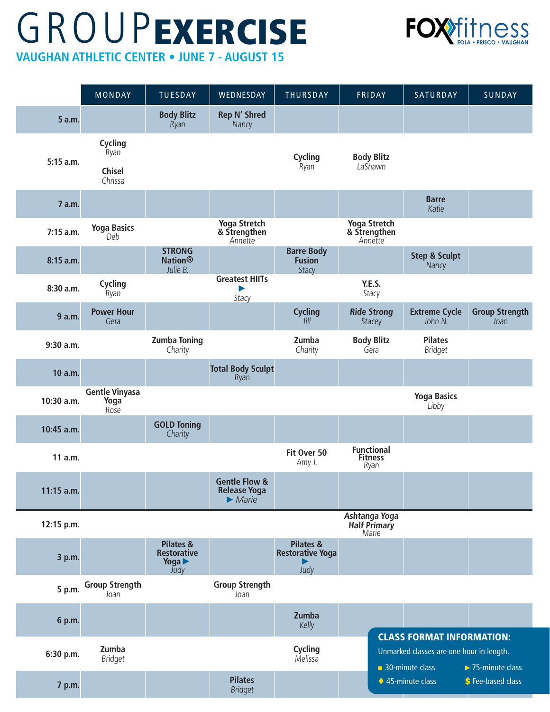## **VAUGHAN ATHLETIC CENTER • JUNE 7 - AUGUST 15 GROUPEXERCISE**



MONDAY | TUESDAY | WEDNESDAY | THURSDAY | FRIDAY | SATURDAY | SUNDAY **5 a.m. Body Blitz** Ryan **Rep N' Shred Nancy 5:15 a.m. Cycling** Ryan **Cycling** Ryan **Body Blitz** LaShawn **Chisel** Chrissa **7 a.m. Barre** Katie **7:15 a.m. Yoga Basics** Deb **Yoga Stretch & Strengthen** Annette **Yoga Stretch & Strengthen** Annette **8:15 a.m. STRONG Nation®** Julie B. **Barre Body Fusion Stacy Step & Sculpt Nancy 8:30 a.m. Cycling** Ryan **Greatest HIITs** ► **Stacy Y.E.S.** Stacy **9 a.m. Power Hour** Gera **Cycling** Jill **Ride Strong Stacey Extreme Cycle** John N. **Group Strength** Joan **9:30 a.m. Zumba Toning** Charity **Zumba** Charity **Body Blitz** Gera **Pilates** Bridget **10 a.m. Total Body Sculpt** Ryan **10:30 a.m. Gentle Vinyasa Yoga**  Rose **Yoga Basics** Libby **10:45 a.m. GOLD Toning Charity 11 a.m. Fit Over 50** Amy J. **Functional Fitness** Ryan **11:15 a.m. Gentle Flow & Release Yoga**  ►*Marie*  **12:15 p.m. Ashtanga Yoga Half Primary** Marie **3 p.m. Pilates & Restorative Yoga** ► **Judy Pilates & Restorative Yoga**  ► Judy **5 p.m. Group Strength** Joan **Group Strength** Joan **6 p.m. Zumba** Kelly **6:30 p.m. Zumba** Bridget **Cycling Melissa 7 p.m. Pilates** Bridget CLASS FORMAT INFORMATION: Unmarked classes are one hour in length. ■ 30-minute class ◆ 45-minute class ►75-minute class **S** Fee-based class